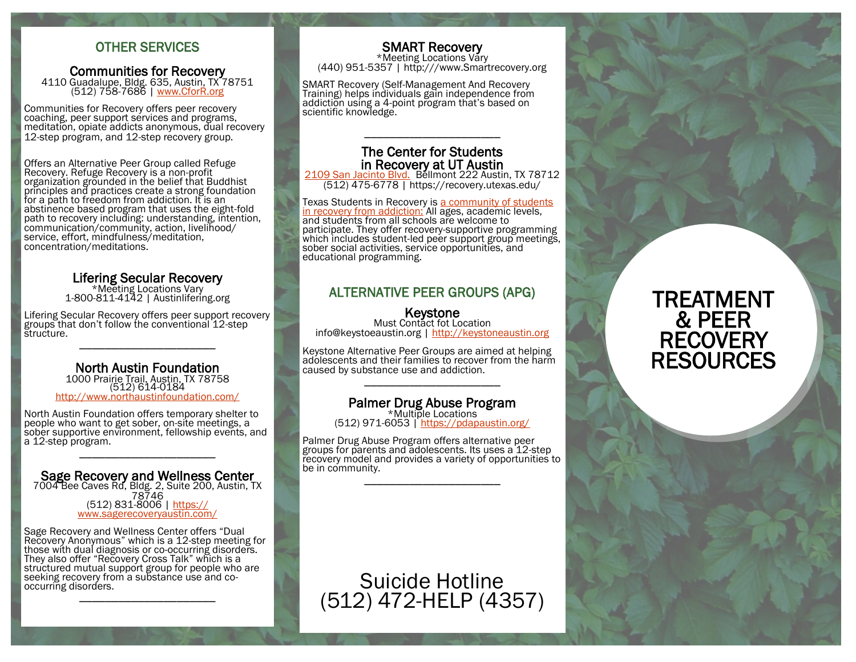#### OTHER SERVICES

#### Communities for Recovery 4110 Guadalupe, Bldg. 635, Austin, TX 78751 (512) 758-7686 | [www.CforR.org](http://www.cforr.org/)

Communities for Recovery offers peer recovery coaching, peer support services and programs, meditation, opiate addicts anonymous, dual recovery 12-step program, and 12-step recovery group.

Offers an Alternative Peer Group called Refuge Recovery. Refuge Recovery is a non-profit organization grounded in the belief that Buddhist principles and practices create a strong foundation for a path to freedom from addiction. It is an abstinence based program that uses the eight-fold path to recovery including: understanding, intention, communication/community, action, livelihood/ service, effort, mindfulness/meditation, concentration/meditations.

#### Lifering Secular Recovery

\*Meeting Locations Vary 1-800-811-4142 | Austinlifering.org

Lifering Secular Recovery offers peer support recovery groups that don't follow the conventional 12-step structure. \_\_\_\_\_\_\_\_\_\_\_\_\_\_\_\_\_\_\_\_\_

٦ North Austin Foundation 1000 Prairie Trail, Austin, TX 78758 (512) 614-0184 <http://www.northaustinfoundation.com/>

North Austin Foundation offers temporary shelter to people who want to get sober, on-site meetings, a sober supportive environment, fellowship events, and a 12-step program. \_\_\_\_\_\_\_\_\_\_\_\_\_\_\_\_\_\_\_\_\_

#### Ī Sage Recovery and Wellness Center

7004 Bee Caves Rd, Bldg. 2, Suite 200, Austin, TX 78746 (512) 831-8006 | [https://](https://www.sagerecoveryaustin.com/) [www.sagerecoveryaustin.com/](https://www.sagerecoveryaustin.com/)

Sage Recovery and Wellness Center offers "Dual Recovery Anonymous" which is a 12-step meeting for those with dual diagnosis or co-occurring disorders. They also offer "Recovery Cross Talk" which is a structured mutual support group for people who are seeking recovery from a substance use and cooccurring disorders. \_\_\_\_\_\_\_\_\_\_\_\_\_\_\_\_\_\_\_\_\_

 SMART Recovery \*Meeting Locations Vary (440) 951-5357 | http:///www.Smartrecovery.org

SMART Recovery (Self-Management And Recovery Training) helps individuals gain independence from addiction using a 4-point program that's based on scientific knowledge.

#### The Center for Students in Recovery at UT Austin

\_\_\_\_\_\_\_\_\_\_\_\_\_\_\_\_\_\_\_\_\_

[2109 San Jacinto Blvd.](https://facilitiesservices.utexas.edu/buildings/UTM/0418) Bellmont 222 Austin, TX 78712 (512) 475-6778 | https://recovery.utexas.edu/

Texas Students in Recovery is a community of students [in recovery from addiction:](https://recovery.utexas.edu/studentstories.html) All ages, academic levels, and students from all schools are welcome to participate. They offer recovery-supportive programming which includes student-led peer support group meetings, sober social activities, service opportunities, and educational programming.

#### ALTERNATIVE PEER GROUPS (APG)

#### Keystone

Must Contact fot Location info@keystoeaustin.org | <http://keystoneaustin.org>

Keystone Alternative Peer Groups are aimed at helping adolescents and their families to recover from the harm caused by substance use and addiction. \_\_\_\_\_\_\_\_\_\_\_\_\_\_\_\_\_\_\_\_\_

#### Palmer Drug Abuse Program

\*Multiple Locations (512) 971-6053 |<https://pdapaustin.org/>

Palmer Drug Abuse Program offers alternative peer groups for parents and adolescents. Its uses a 12-step recovery model and provides a variety of opportunities to be in community. \_\_\_\_\_\_\_\_\_\_\_\_\_\_\_\_\_\_\_\_\_

Ī

Suicide Hotline [\(512\) 472-HELP \(4357\)](https://www.google.com/url?sa=i&rct=j&q=&esrc=s&source=images&cd=&ved=2ahUKEwivkLDE8OXdAhUygK0KHR3TB3UQjRx6BAgBEAU&url=http%3A%2F%2Fwww.aljanh.net%2Fgreen-foliage%2F&psig=AOvVaw2qYVFtdq6TxtrZRy2eCtex&ust=1538505155949475)

## TREATMENT & PEER **RECOVERY RESOURCES**